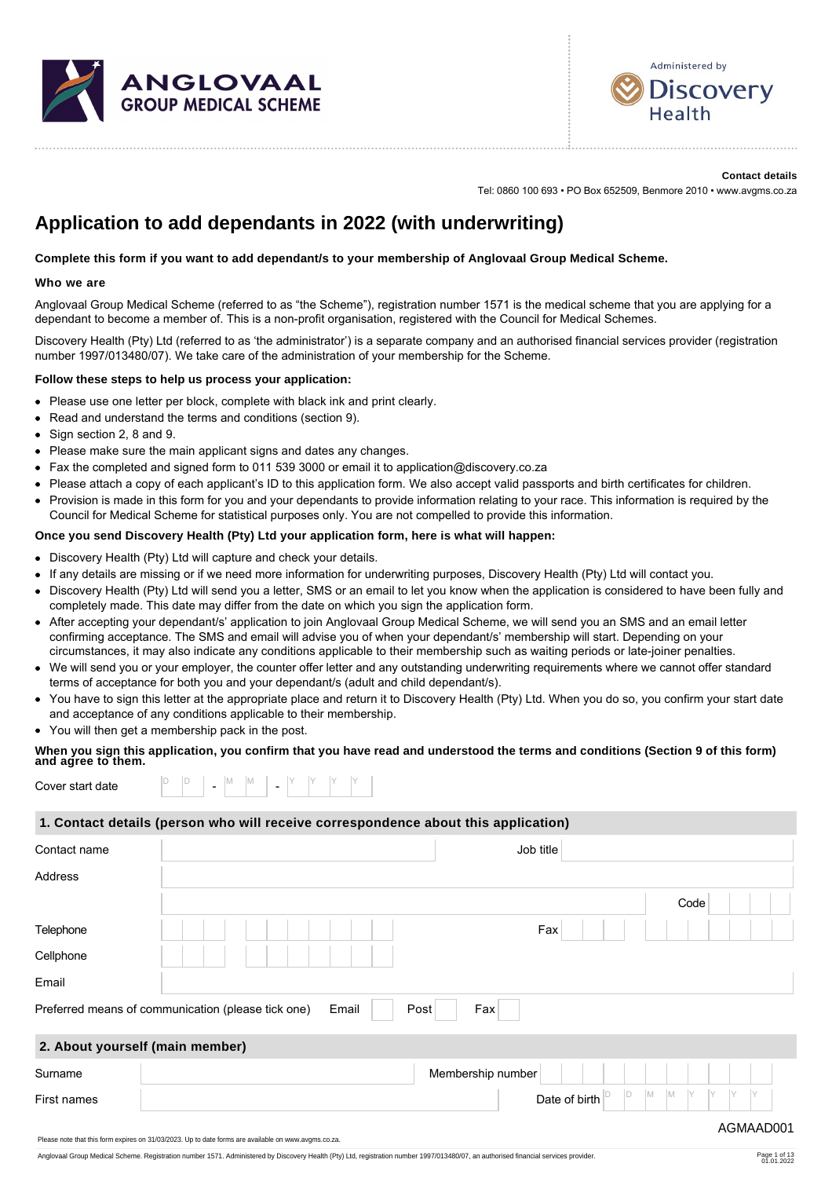



#### **Contact details** Tel: 0860 100 693 • PO Box 652509, Benmore 2010 • www.avgms.co.za

# **Application to add dependants in 2022 (with underwriting)**

### **Complete this form if you want to add dependant/s to your membership of Anglovaal Group Medical Scheme.**

### **Who we are**

Anglovaal Group Medical Scheme (referred to as "the Scheme"), registration number 1571 is the medical scheme that you are applying for a dependant to become a member of. This is a non-profit organisation, registered with the Council for Medical Schemes.

Discovery Health (Pty) Ltd (referred to as 'the administrator') is a separate company and an authorised financial services provider (registration number 1997/013480/07). We take care of the administration of your membership for the Scheme.

### **Follow these steps to help us process your application:**

- Please use one letter per block, complete with black ink and print clearly.  $\bullet$
- Read and understand the terms and conditions (section 9).
- Sign section 2, 8 and 9.  $\bullet$
- Please make sure the main applicant signs and dates any changes.
- Fax the completed and signed form to 011 539 3000 or email it to application@discovery.co.za
- Please attach a copy of each applicant's ID to this application form. We also accept valid passports and birth certificates for children.
- Provision is made in this form for you and your dependants to provide information relating to your race. This information is required by the  $\bullet$ Council for Medical Scheme for statistical purposes only. You are not compelled to provide this information.

### **Once you send Discovery Health (Pty) Ltd your application form, here is what will happen:**

- Discovery Health (Pty) Ltd will capture and check your details.
- If any details are missing or if we need more information for underwriting purposes, Discovery Health (Pty) Ltd will contact you.
- Discovery Health (Pty) Ltd will send you a letter, SMS or an email to let you know when the application is considered to have been fully and completely made. This date may differ from the date on which you sign the application form.
- After accepting your dependant/s' application to join Anglovaal Group Medical Scheme, we will send you an SMS and an email letter confirming acceptance. The SMS and email will advise you of when your dependant/s' membership will start. Depending on your circumstances, it may also indicate any conditions applicable to their membership such as waiting periods or late-joiner penalties.
- We will send you or your employer, the counter offer letter and any outstanding underwriting requirements where we cannot offer standard terms of acceptance for both you and your dependant/s (adult and child dependant/s).
- You have to sign this letter at the appropriate place and return it to Discovery Health (Pty) Ltd. When you do so, you confirm your start date and acceptance of any conditions applicable to their membership.
- You will then get a membership pack in the post.

# **When you sign this application, you confirm that you have read and understood the terms and conditions (Section 9 of this form) and agree to them.**

| Cover start date |  |  | - | N <sub>A</sub><br>1V) |  | - |  |  |  |  |  |
|------------------|--|--|---|-----------------------|--|---|--|--|--|--|--|
|------------------|--|--|---|-----------------------|--|---|--|--|--|--|--|

### **1. Contact details (person who will receive correspondence about this application)**

| Contact name                    | Job title                                                                  |
|---------------------------------|----------------------------------------------------------------------------|
| Address                         |                                                                            |
|                                 | Code                                                                       |
| Telephone                       | Fax                                                                        |
| Cellphone                       |                                                                            |
| Email                           |                                                                            |
|                                 | Preferred means of communication (please tick one)<br>Email<br>Post<br>Fax |
| 2. About yourself (main member) |                                                                            |
| Surname                         | Membership number                                                          |
| First names                     | M<br>D<br>M<br>IY<br>Date of birth                                         |
|                                 | AGMAAD001                                                                  |

Anglovaal Group Medical Scheme. Registration number 1571. Administered by Discovery Health (Pty) Ltd, registration number 1997/013480/07, an authorised financial services provider.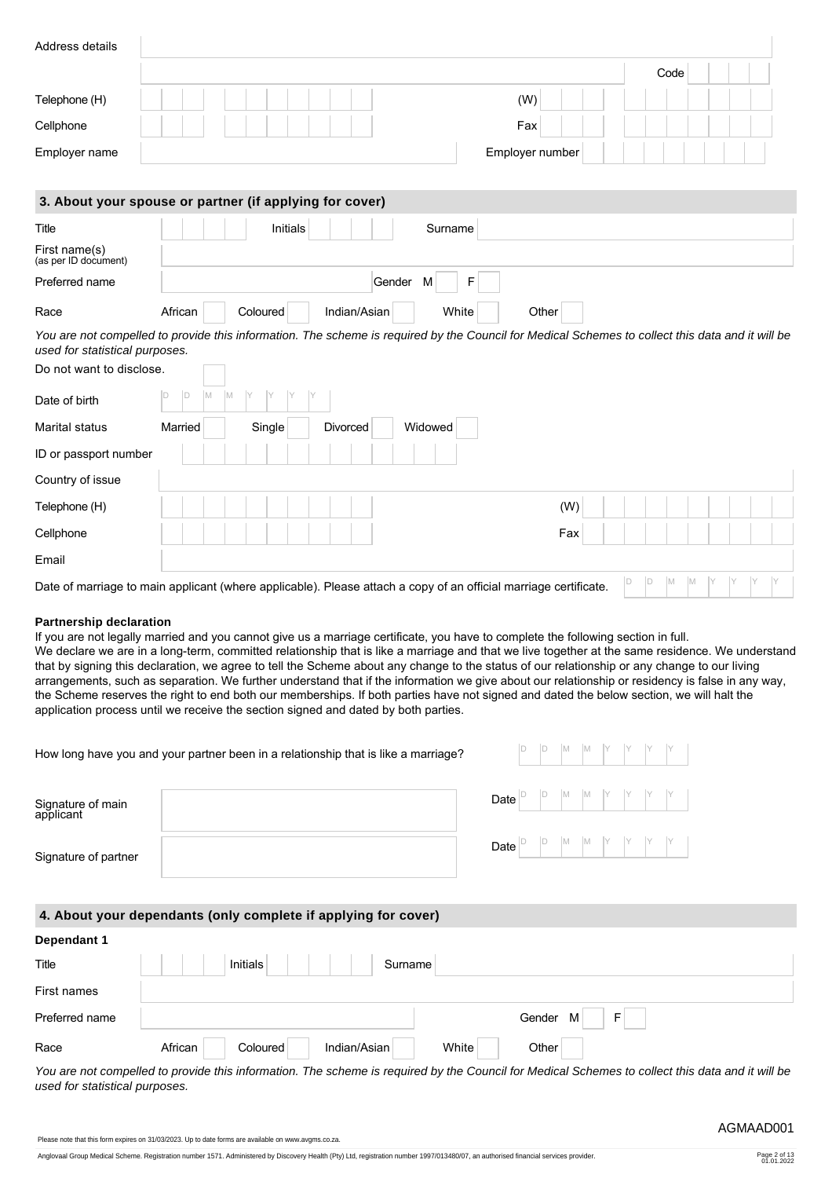|                                                                                                                                                                                                                                                                                                                                                                                                                                                                                                                                                                                                                                                                                                                                                                                                                            |         |   |   |          |          |          |  |              |         |         |       |      |                 |     |   |  | Code |  |  |  |
|----------------------------------------------------------------------------------------------------------------------------------------------------------------------------------------------------------------------------------------------------------------------------------------------------------------------------------------------------------------------------------------------------------------------------------------------------------------------------------------------------------------------------------------------------------------------------------------------------------------------------------------------------------------------------------------------------------------------------------------------------------------------------------------------------------------------------|---------|---|---|----------|----------|----------|--|--------------|---------|---------|-------|------|-----------------|-----|---|--|------|--|--|--|
| Telephone (H)                                                                                                                                                                                                                                                                                                                                                                                                                                                                                                                                                                                                                                                                                                                                                                                                              |         |   |   |          |          |          |  |              |         |         |       |      | (W)             |     |   |  |      |  |  |  |
| Cellphone                                                                                                                                                                                                                                                                                                                                                                                                                                                                                                                                                                                                                                                                                                                                                                                                                  |         |   |   |          |          |          |  |              |         |         |       |      | Fax             |     |   |  |      |  |  |  |
| Employer name                                                                                                                                                                                                                                                                                                                                                                                                                                                                                                                                                                                                                                                                                                                                                                                                              |         |   |   |          |          |          |  |              |         |         |       |      | Employer number |     |   |  |      |  |  |  |
|                                                                                                                                                                                                                                                                                                                                                                                                                                                                                                                                                                                                                                                                                                                                                                                                                            |         |   |   |          |          |          |  |              |         |         |       |      |                 |     |   |  |      |  |  |  |
| 3. About your spouse or partner (if applying for cover)                                                                                                                                                                                                                                                                                                                                                                                                                                                                                                                                                                                                                                                                                                                                                                    |         |   |   |          |          |          |  |              |         |         |       |      |                 |     |   |  |      |  |  |  |
| Title                                                                                                                                                                                                                                                                                                                                                                                                                                                                                                                                                                                                                                                                                                                                                                                                                      |         |   |   |          |          | Initials |  |              |         | Surname |       |      |                 |     |   |  |      |  |  |  |
| First name(s)<br>(as per ID document)                                                                                                                                                                                                                                                                                                                                                                                                                                                                                                                                                                                                                                                                                                                                                                                      |         |   |   |          |          |          |  |              |         |         |       |      |                 |     |   |  |      |  |  |  |
| Preferred name                                                                                                                                                                                                                                                                                                                                                                                                                                                                                                                                                                                                                                                                                                                                                                                                             |         |   |   |          |          |          |  |              | Gender  | M       | F     |      |                 |     |   |  |      |  |  |  |
| Race                                                                                                                                                                                                                                                                                                                                                                                                                                                                                                                                                                                                                                                                                                                                                                                                                       | African |   |   |          | Coloured |          |  | Indian/Asian |         |         | White |      | Other           |     |   |  |      |  |  |  |
| You are not compelled to provide this information. The scheme is required by the Council for Medical Schemes to collect this data and it will be<br>used for statistical purposes.                                                                                                                                                                                                                                                                                                                                                                                                                                                                                                                                                                                                                                         |         |   |   |          |          |          |  |              |         |         |       |      |                 |     |   |  |      |  |  |  |
| Do not want to disclose.                                                                                                                                                                                                                                                                                                                                                                                                                                                                                                                                                                                                                                                                                                                                                                                                   |         |   |   |          |          |          |  |              |         |         |       |      |                 |     |   |  |      |  |  |  |
| Date of birth                                                                                                                                                                                                                                                                                                                                                                                                                                                                                                                                                                                                                                                                                                                                                                                                              | D       | D | M |          |          |          |  |              |         |         |       |      |                 |     |   |  |      |  |  |  |
| Marital status                                                                                                                                                                                                                                                                                                                                                                                                                                                                                                                                                                                                                                                                                                                                                                                                             | Married |   |   |          | Single   |          |  | Divorced     |         | Widowed |       |      |                 |     |   |  |      |  |  |  |
| ID or passport number                                                                                                                                                                                                                                                                                                                                                                                                                                                                                                                                                                                                                                                                                                                                                                                                      |         |   |   |          |          |          |  |              |         |         |       |      |                 |     |   |  |      |  |  |  |
| Country of issue                                                                                                                                                                                                                                                                                                                                                                                                                                                                                                                                                                                                                                                                                                                                                                                                           |         |   |   |          |          |          |  |              |         |         |       |      |                 |     |   |  |      |  |  |  |
| Telephone (H)                                                                                                                                                                                                                                                                                                                                                                                                                                                                                                                                                                                                                                                                                                                                                                                                              |         |   |   |          |          |          |  |              |         |         |       |      |                 | (W) |   |  |      |  |  |  |
| Cellphone                                                                                                                                                                                                                                                                                                                                                                                                                                                                                                                                                                                                                                                                                                                                                                                                                  |         |   |   |          |          |          |  |              |         |         |       |      |                 | Fax |   |  |      |  |  |  |
| Email                                                                                                                                                                                                                                                                                                                                                                                                                                                                                                                                                                                                                                                                                                                                                                                                                      |         |   |   |          |          |          |  |              |         |         |       |      |                 |     |   |  |      |  |  |  |
| Date of marriage to main applicant (where applicable). Please attach a copy of an official marriage certificate.                                                                                                                                                                                                                                                                                                                                                                                                                                                                                                                                                                                                                                                                                                           |         |   |   |          |          |          |  |              |         |         |       |      |                 |     |   |  |      |  |  |  |
| If you are not legally married and you cannot give us a marriage certificate, you have to complete the following section in full.<br>We declare we are in a long-term, committed relationship that is like a marriage and that we live together at the same residence. We understand<br>that by signing this declaration, we agree to tell the Scheme about any change to the status of our relationship or any change to our living<br>arrangements, such as separation. We further understand that if the information we give about our relationship or residency is false in any way,<br>the Scheme reserves the right to end both our memberships. If both parties have not signed and dated the below section, we will halt the<br>application process until we receive the section signed and dated by both parties. |         |   |   |          |          |          |  |              |         |         |       |      |                 |     |   |  |      |  |  |  |
| How long have you and your partner been in a relationship that is like a marriage?<br>Signature of main<br>applicant                                                                                                                                                                                                                                                                                                                                                                                                                                                                                                                                                                                                                                                                                                       |         |   |   |          |          |          |  |              |         |         |       | Date |                 |     |   |  |      |  |  |  |
| Signature of partner                                                                                                                                                                                                                                                                                                                                                                                                                                                                                                                                                                                                                                                                                                                                                                                                       |         |   |   |          |          |          |  |              |         |         |       | Date |                 |     |   |  |      |  |  |  |
|                                                                                                                                                                                                                                                                                                                                                                                                                                                                                                                                                                                                                                                                                                                                                                                                                            |         |   |   |          |          |          |  |              |         |         |       |      |                 |     |   |  |      |  |  |  |
|                                                                                                                                                                                                                                                                                                                                                                                                                                                                                                                                                                                                                                                                                                                                                                                                                            |         |   |   |          |          |          |  |              |         |         |       |      |                 |     |   |  |      |  |  |  |
|                                                                                                                                                                                                                                                                                                                                                                                                                                                                                                                                                                                                                                                                                                                                                                                                                            |         |   |   | Initials |          |          |  |              | Surname |         |       |      |                 |     |   |  |      |  |  |  |
|                                                                                                                                                                                                                                                                                                                                                                                                                                                                                                                                                                                                                                                                                                                                                                                                                            |         |   |   |          |          |          |  |              |         |         |       |      |                 |     |   |  |      |  |  |  |
|                                                                                                                                                                                                                                                                                                                                                                                                                                                                                                                                                                                                                                                                                                                                                                                                                            |         |   |   |          |          |          |  |              |         |         |       |      | Gender M        |     | F |  |      |  |  |  |
| 4. About your dependants (only complete if applying for cover)<br>Dependant 1<br>Title<br>First names<br>Preferred name<br>Race                                                                                                                                                                                                                                                                                                                                                                                                                                                                                                                                                                                                                                                                                            | African |   |   |          | Coloured |          |  | Indian/Asian |         |         | White |      | Other           |     |   |  |      |  |  |  |

Page 2 of 13<br>01.01.2022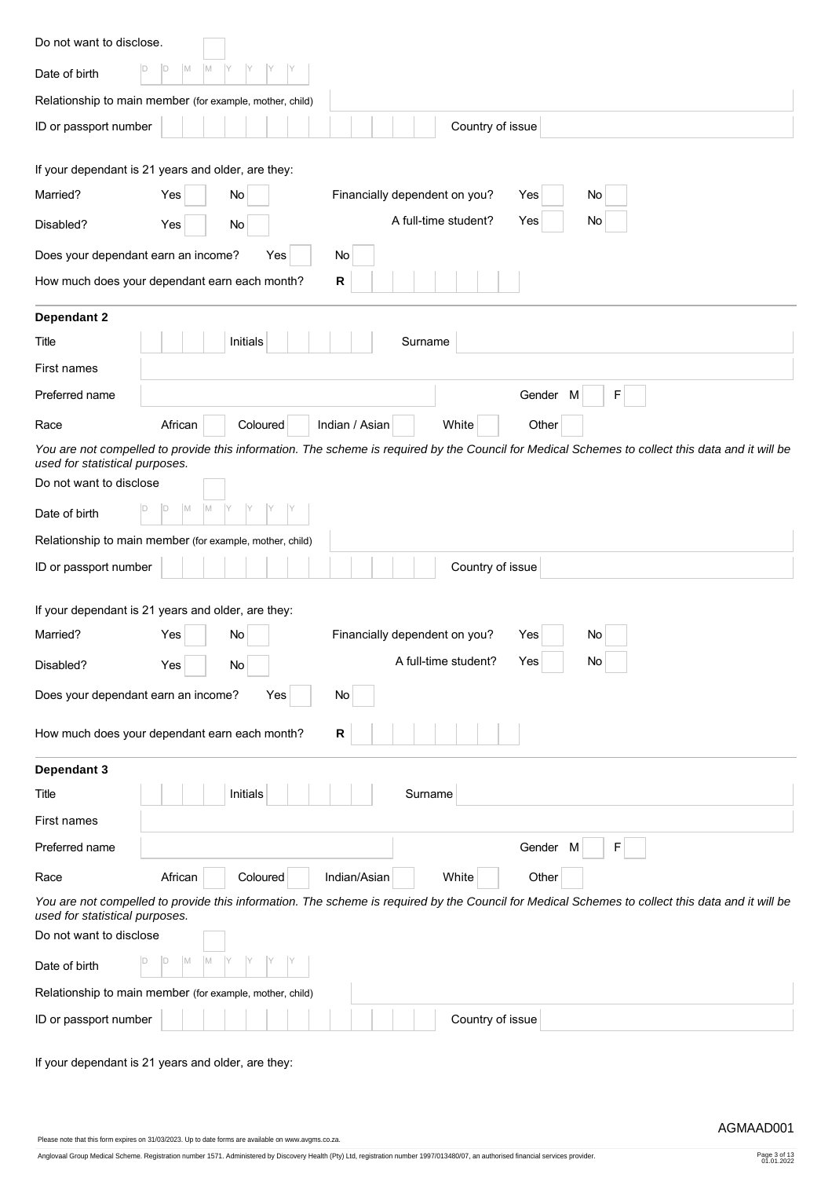| Do not want to disclose.                                                                                                                                                           |
|------------------------------------------------------------------------------------------------------------------------------------------------------------------------------------|
| M<br>M<br>ID<br>Date of birth                                                                                                                                                      |
| Relationship to main member (for example, mother, child)                                                                                                                           |
| ID or passport number<br>Country of issue                                                                                                                                          |
| If your dependant is 21 years and older, are they:                                                                                                                                 |
| Married?<br>Financially dependent on you?<br>Yes<br>No<br>No<br>Yes                                                                                                                |
| A full-time student?<br>Yes<br>No<br>Disabled?<br>Yes<br>No                                                                                                                        |
| Does your dependant earn an income?<br>Yes<br>No                                                                                                                                   |
| How much does your dependant earn each month?<br>R                                                                                                                                 |
| Dependant 2                                                                                                                                                                        |
| Initials<br>Surname<br>Title                                                                                                                                                       |
| First names                                                                                                                                                                        |
| Gender M<br>F<br>Preferred name                                                                                                                                                    |
| African<br>Indian / Asian<br>White<br>Race<br>Coloured<br>Other                                                                                                                    |
| You are not compelled to provide this information. The scheme is required by the Council for Medical Schemes to collect this data and it will be<br>used for statistical purposes. |
| Do not want to disclose                                                                                                                                                            |
| M<br>D<br>M<br>Date of birth                                                                                                                                                       |
| Relationship to main member (for example, mother, child)                                                                                                                           |
| ID or passport number<br>Country of issue                                                                                                                                          |
| If your dependant is 21 years and older, are they:                                                                                                                                 |
| Married?<br>Financially dependent on you?<br>No<br>Yes<br>Yes<br>No                                                                                                                |
| A full-time student?<br>Yes<br>No<br>Disabled?<br>Yes<br>No                                                                                                                        |
| Does your dependant earn an income?<br>Yes<br>No.                                                                                                                                  |
| How much does your dependant earn each month?<br>R                                                                                                                                 |
| Dependant 3                                                                                                                                                                        |
| Initials<br>Surname<br>Title                                                                                                                                                       |
| First names                                                                                                                                                                        |
| F<br>Preferred name<br>Gender M                                                                                                                                                    |
| Indian/Asian<br>White<br>African<br>Coloured<br>Other<br>Race                                                                                                                      |
| You are not compelled to provide this information. The scheme is required by the Council for Medical Schemes to collect this data and it will be<br>used for statistical purposes. |
| Do not want to disclose                                                                                                                                                            |
| IM.<br>D<br>IМ<br>Date of birth                                                                                                                                                    |
| Relationship to main member (for example, mother, child)                                                                                                                           |
| ID or passport number<br>Country of issue                                                                                                                                          |

If your dependant is 21 years and older, are they:

Please note that this form expires on 31/03/2023. Up to date forms are available on www.avgms.co.za.

Anglovaal Group Medical Scheme. Registration number 1571. Administered by Discovery Health (Pty) Ltd, registration number 1997/013480/07, an authorised financial services provider. Page 3 of 13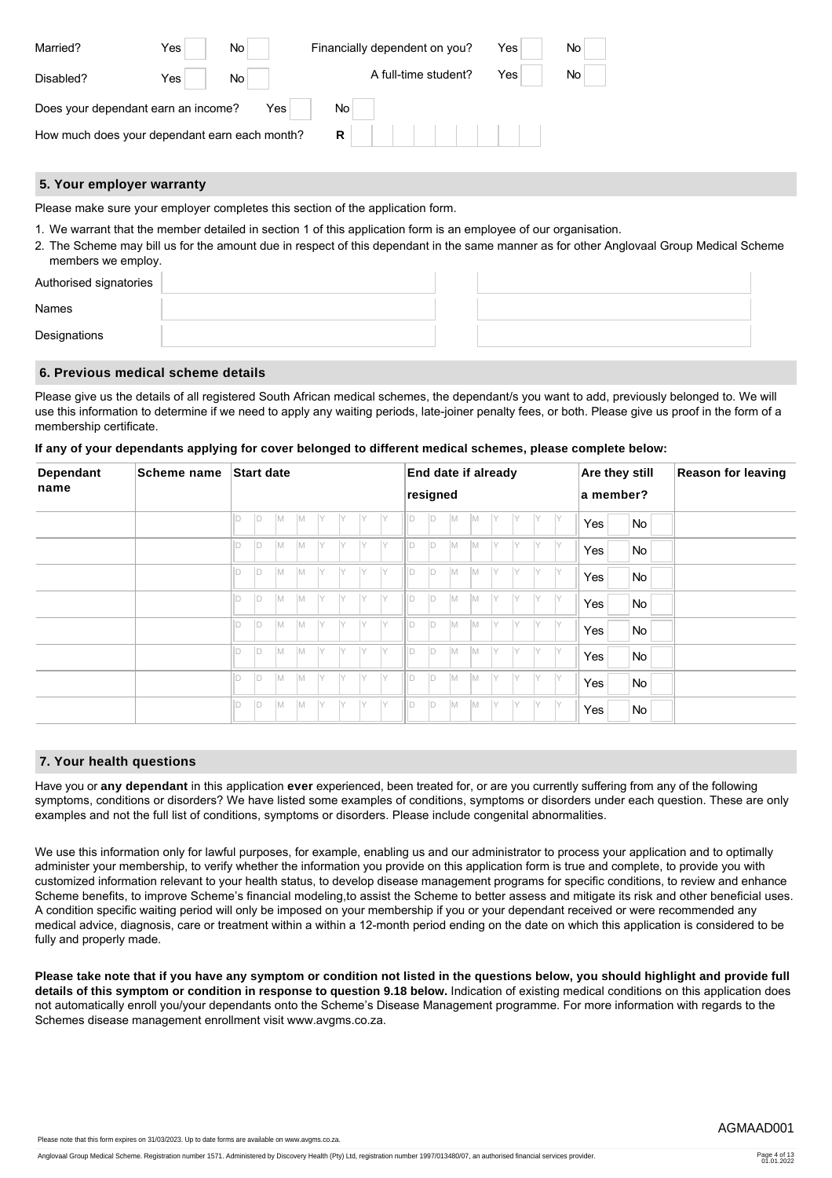| Married?                                      | Yes  | <b>No</b> | Financially dependent on you? | Yes | No. |
|-----------------------------------------------|------|-----------|-------------------------------|-----|-----|
| Disabled?                                     | Yes⊤ | No.       | A full-time student?          | Yes | No. |
| Does your dependant earn an income?           |      | Yes       | No.                           |     |     |
| How much does your dependant earn each month? |      |           | R                             |     |     |

### **5. Your employer warranty**

Please make sure your employer completes this section of the application form.

- 1. We warrant that the member detailed in section 1 of this application form is an employee of our organisation.
- 2. The Scheme may bill us for the amount due in respect of this dependant in the same manner as for other Anglovaal Group Medical Scheme members we employ.

| Authorised signatories |  |  |
|------------------------|--|--|
| Names                  |  |  |
| Designations           |  |  |

### **6. Previous medical scheme details**

Please give us the details of all registered South African medical schemes, the dependant/s you want to add, previously belonged to. We will use this information to determine if we need to apply any waiting periods, late-joiner penalty fees, or both. Please give us proof in the form of a membership certificate.

|  |  | If any of your dependants applying for cover belonged to different medical schemes, please complete below: |  |  |  |
|--|--|------------------------------------------------------------------------------------------------------------|--|--|--|

| <b>Dependant</b> | <b>Scheme name</b> |              | <b>Start date</b> |          |     |     |     |     |              |          | End date if already |           |     |     |              |              | Are they still |    | <b>Reason for leaving</b> |
|------------------|--------------------|--------------|-------------------|----------|-----|-----|-----|-----|--------------|----------|---------------------|-----------|-----|-----|--------------|--------------|----------------|----|---------------------------|
| name             |                    |              |                   |          |     |     |     |     |              | resigned |                     |           |     |     |              |              | a member?      |    |                           |
|                  |                    | $\mathsf{D}$ | IM.               | IM.      | IY  | IY  | IY  | Y   | D            | ID.      | IM.                 | M         | IY. | IY. | IY           | - Y          | Yes            | No |                           |
|                  |                    | ID.          | M                 | M        | IY. | IY  | IY. | IY  | ID           | ID       | M                   | M         | IY. | IY. | <sup>Y</sup> | Y            | Yes            | No |                           |
|                  |                    | <b>D</b>     | M                 | M        | IY  | IY  | IY  | IY  | ID           | ID.      | M                   | M         | İΥ  | IY  | IY           | IY           | Yes            | No |                           |
|                  |                    | $\mathsf{D}$ | M                 | IM.      | IY. | IY. | IY. | IY  | D            | D        | M                   | M         | IY  | IY. | IY           | IY           | Yes            | No |                           |
|                  |                    | ID.          | M                 | <b>M</b> | IY  | IY  | IY. | IY. | ÍD.          | ID       | M                   | M         | IY. | IY. | Y            | <sup>Y</sup> | Yes            | No |                           |
|                  |                    | ID           | M                 | M        | IY. | IY  | IY  | IY. | D            | ID.      | M                   | M         | İΥ  | IY  | IY.          | IY           | Yes            | No |                           |
|                  |                    | D            | IM.               | IM.      | IY. | IY. | IY. | IY. | ID           | D        | M                   | <b>M</b>  | IY  | IY  | IY           | IY           | Yes            | No |                           |
|                  |                    | ID           | IM.               | IM.      | IY  | IY  | IY  | IY  | $\mathsf{D}$ | <b>D</b> | M                   | <b>IM</b> | IY  | IY  | Y            | IY           | Yes            | No |                           |

### **7. Your health questions**

Have you or **any dependant** in this application **ever** experienced, been treated for, or are you currently suffering from any of the following symptoms, conditions or disorders? We have listed some examples of conditions, symptoms or disorders under each question. These are only examples and not the full list of conditions, symptoms or disorders. Please include congenital abnormalities.

We use this information only for lawful purposes, for example, enabling us and our administrator to process your application and to optimally administer your membership, to verify whether the information you provide on this application form is true and complete, to provide you with customized information relevant to your health status, to develop disease management programs for specific conditions, to review and enhance Scheme benefits, to improve Scheme's financial modeling,to assist the Scheme to better assess and mitigate its risk and other beneficial uses. A condition specific waiting period will only be imposed on your membership if you or your dependant received or were recommended any medical advice, diagnosis, care or treatment within a within a 12-month period ending on the date on which this application is considered to be fully and properly made.

**Please take note that if you have any symptom or condition not listed in the questions below, you should highlight and provide full details of this symptom or condition in response to question 9.18 below.** Indication of existing medical conditions on this application does not automatically enroll you/your dependants onto the Scheme's Disease Management programme. For more information with regards to the Schemes disease management enrollment visit www.avgms.co.za.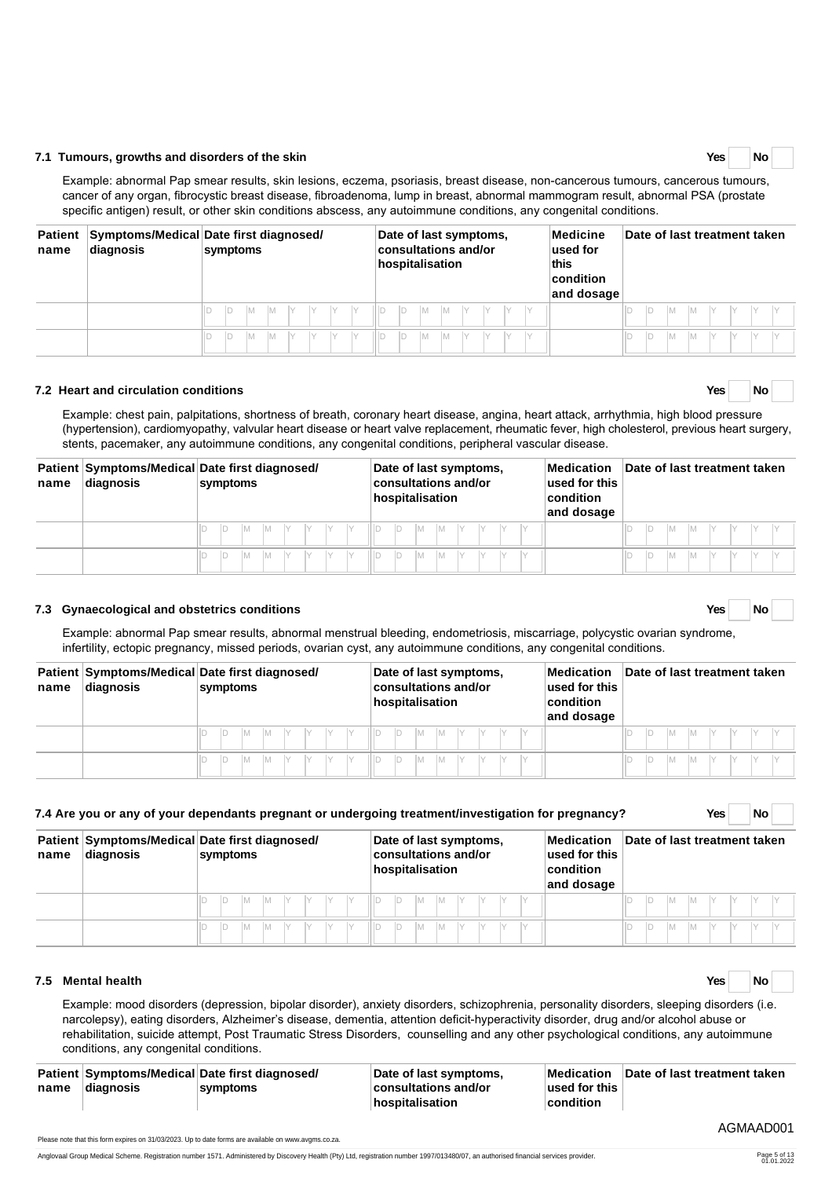### **7.2 Heart and circulation conditions Yes No**

Example: chest pain, palpitations, shortness of breath, coronary heart disease, angina, heart attack, arrhythmia, high blood pressure (hypertension), cardiomyopathy, valvular heart disease or heart valve replacement, rheumatic fever, high cholesterol, previous heart surgery, stents, pacemaker, any autoimmune conditions, any congenital conditions, peripheral vascular disease.

| name | diagnosis | Patient Symptoms/Medical Date first diagnosed/<br>symptoms | Date of last symptoms,<br>consultations and/or<br>hospitalisation | Medication<br>used for this<br>$ $ condition<br>and dosage | Date of last treatment taken |  |  |  |  |  |  |  |  |  |
|------|-----------|------------------------------------------------------------|-------------------------------------------------------------------|------------------------------------------------------------|------------------------------|--|--|--|--|--|--|--|--|--|
|      |           | IM.                                                        | IIID                                                              |                                                            |                              |  |  |  |  |  |  |  |  |  |
|      |           | IM.<br>IV<br>IY                                            | IV<br>IV<br>IM.                                                   |                                                            | IV                           |  |  |  |  |  |  |  |  |  |

### **7.3 Gynaecological and obstetrics conditions Yes No**

Example: abnormal Pap smear results, abnormal menstrual bleeding, endometriosis, miscarriage, polycystic ovarian syndrome, infertility, ectopic pregnancy, missed periods, ovarian cyst, any autoimmune conditions, any congenital conditions.

| name | diagnosis | Patient Symptoms/Medical Date first diagnosed/<br>symptoms | Date of last symptoms,<br><b>consultations and/or</b><br>hospitalisation | Medication<br>used for this<br>$ $ condition<br>and dosage | Date of last treatment taken |  |  |  |  |  |  |  |  |  |
|------|-----------|------------------------------------------------------------|--------------------------------------------------------------------------|------------------------------------------------------------|------------------------------|--|--|--|--|--|--|--|--|--|
|      |           | <b>IM</b><br>IY                                            | IY<br>IM.<br>'M                                                          |                                                            |                              |  |  |  |  |  |  |  |  |  |
|      |           | IV                                                         | IM.                                                                      |                                                            | ID<br>IM.                    |  |  |  |  |  |  |  |  |  |

|      | 7.4 Are you or any of your dependants pregnant or undergoing treatment/investigation for pregnancy? |  |          |  |  |  |                                                                                                                                    |     |  |  |  |  |  |  |                              |   | Yes i |  | No |  |
|------|-----------------------------------------------------------------------------------------------------|--|----------|--|--|--|------------------------------------------------------------------------------------------------------------------------------------|-----|--|--|--|--|--|--|------------------------------|---|-------|--|----|--|
| name | Patient Symptoms/Medical Date first diagnosed/<br>diagnosis                                         |  | symptoms |  |  |  | Date of last symptoms,<br>Medication<br>consultations and/or<br>used for this<br>hospitalisation<br><b>condition</b><br>and dosage |     |  |  |  |  |  |  | Date of last treatment taken |   |       |  |    |  |
|      |                                                                                                     |  |          |  |  |  | M                                                                                                                                  | IM. |  |  |  |  |  |  | M                            | M |       |  |    |  |
|      |                                                                                                     |  |          |  |  |  | M                                                                                                                                  | IM. |  |  |  |  |  |  | М                            |   |       |  |    |  |

### **7.5 Mental health Yes No**

Example: mood disorders (depression, bipolar disorder), anxiety disorders, schizophrenia, personality disorders, sleeping disorders (i.e. narcolepsy), eating disorders, Alzheimer's disease, dementia, attention deficit-hyperactivity disorder, drug and/or alcohol abuse or rehabilitation, suicide attempt, Post Traumatic Stress Disorders, counselling and any other psychological conditions, any autoimmune conditions, any congenital conditions.

|      |            | Patient Symptoms/Medical Date first diagnosed/ | Date of last symptoms, | <b>Medication</b>     | Date of last treatment taken |
|------|------------|------------------------------------------------|------------------------|-----------------------|------------------------------|
| name | ∣diagnosis | symptoms                                       | consultations and/or   | $\vert$ used for this |                              |
|      |            |                                                | $ $ hospitalisation    | condition             |                              |

Please note that this form expires on 31/03/2023. Up to date forms are available on www.avgms.co.za.

# **7.1 Tumours, growths and disorders of the skin Yes No**

Example: abnormal Pap smear results, skin lesions, eczema, psoriasis, breast disease, non-cancerous tumours, cancerous tumours, cancer of any organ, fibrocystic breast disease, fibroadenoma, lump in breast, abnormal mammogram result, abnormal PSA (prostate specific antigen) result, or other skin conditions abscess, any autoimmune conditions, any congenital conditions.

| <b>Patient</b><br>name | diagnosis | Symptoms/Medical Date first diagnosed/<br>symptoms | Date of last symptoms,<br>consultations and/or<br>hospitalisation | Medicine<br>used for<br>this<br>condition<br>and dosage | Date of last treatment taken     |
|------------------------|-----------|----------------------------------------------------|-------------------------------------------------------------------|---------------------------------------------------------|----------------------------------|
|                        |           | IM.<br>ID<br>IM.                                   | M<br>IM.                                                          |                                                         |                                  |
|                        |           | IM.<br>IV<br>ΙM                                    | <b>IM</b>                                                         |                                                         | $\vee$<br>$\vee$<br>$\checkmark$ |



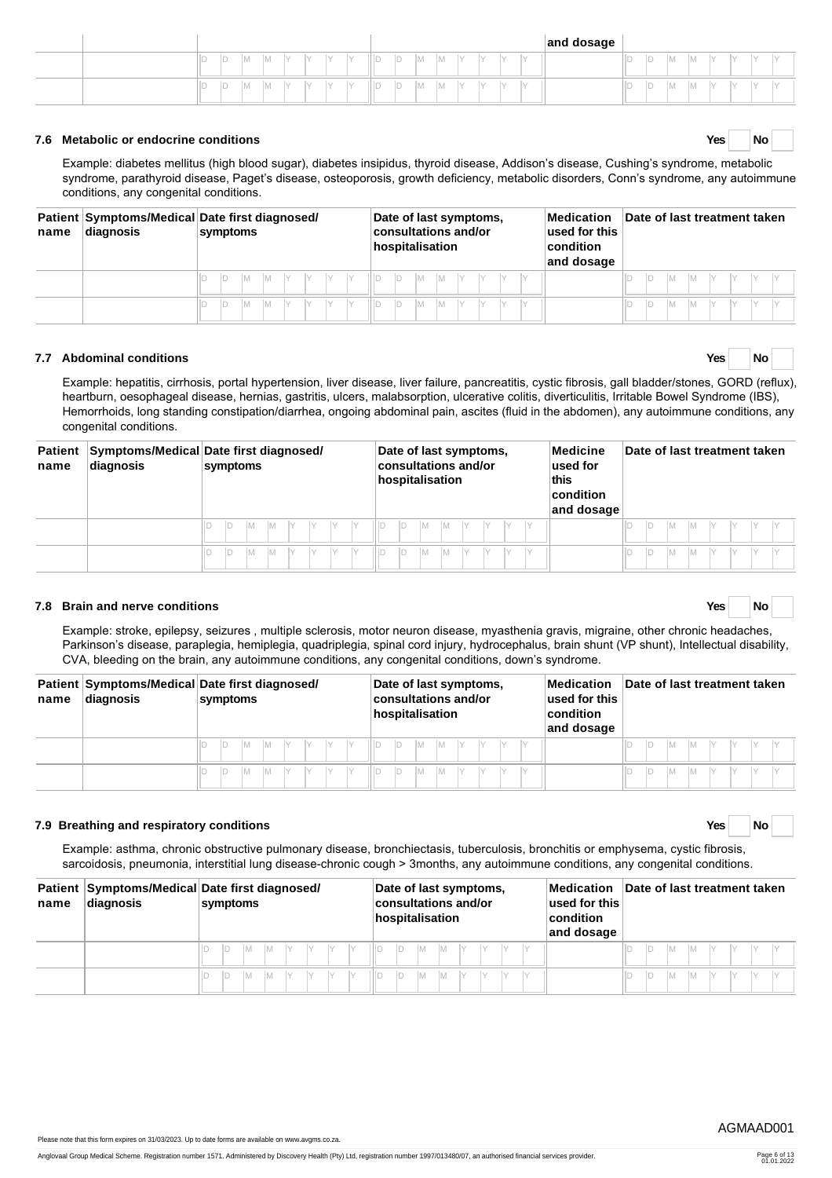|  |          |   |     |     |     |           |     |    |     |       |  |        |            | and dosage |   |    |     |         |             |            |  |
|--|----------|---|-----|-----|-----|-----------|-----|----|-----|-------|--|--------|------------|------------|---|----|-----|---------|-------------|------------|--|
|  | In.<br>⊢ | ⊢ | IM. | IM. | IV  | $\lambda$ | ΠD  | D  | IM. | . IVI |  | $\sim$ | $\sqrt{2}$ |            | ◡ | ιυ | IM. | $-19.1$ | <b>1. J</b> | $\sqrt{ }$ |  |
|  | l m<br>◡ | ⊢ | IM. | M   | IV. | $\sqrt{}$ | IID | ID | IM. | IVI.  |  | $\sim$ | $\lambda$  |            | ⊢ | ïυ | IM. | IV I    |             | M          |  |

### **7.6 Metabolic or endocrine conditions Yes No**

Example: diabetes mellitus (high blood sugar), diabetes insipidus, thyroid disease, Addison's disease, Cushing's syndrome, metabolic syndrome, parathyroid disease, Paget's disease, osteoporosis, growth deficiency, metabolic disorders, Conn's syndrome, any autoimmune conditions, any congenital conditions.

| name | diagnosis | Patient Symptoms/Medical Date first diagnosed/<br>symptoms | Date of last symptoms,<br><b>consultations and/or</b><br>hospitalisation | Medication<br>used for this<br>condition<br>and dosage | Date of last treatment taken |
|------|-----------|------------------------------------------------------------|--------------------------------------------------------------------------|--------------------------------------------------------|------------------------------|
|      |           | IY.<br>IY .<br>'M                                          | IY .<br>١M<br>M                                                          |                                                        |                              |
|      |           |                                                            | V<br>M                                                                   |                                                        | IV.<br>IM.                   |

### **7.7 Abdominal conditions Yes No**

Example: hepatitis, cirrhosis, portal hypertension, liver disease, liver failure, pancreatitis, cystic fibrosis, gall bladder/stones, GORD (reflux), heartburn, oesophageal disease, hernias, gastritis, ulcers, malabsorption, ulcerative colitis, diverticulitis, Irritable Bowel Syndrome (IBS), Hemorrhoids, long standing constipation/diarrhea, ongoing abdominal pain, ascites (fluid in the abdomen), any autoimmune conditions, any congenital conditions.

| <b>Patient</b><br>name | diagnosis | Symptoms/Medical Date first diagnosed/<br>symptoms | Date of last symptoms,<br><b>consultations and/or</b><br>hospitalisation | Medicine<br>$ $ used for<br>this<br>$ $ condition<br>and dosage | Date of last treatment taken |
|------------------------|-----------|----------------------------------------------------|--------------------------------------------------------------------------|-----------------------------------------------------------------|------------------------------|
|                        |           | IM.                                                | ID<br>$ Y $ $ Y $<br>IY<br>IM.<br>1M                                     |                                                                 | ID<br>M                      |
|                        |           | Iм                                                 | D<br>IY.<br>ΙM<br>IМ                                                     |                                                                 | ID<br>M                      |

### **7.8 Brain and nerve conditions Yes No**

Example: stroke, epilepsy, seizures , multiple sclerosis, motor neuron disease, myasthenia gravis, migraine, other chronic headaches, Parkinson's disease, paraplegia, hemiplegia, quadriplegia, spinal cord injury, hydrocephalus, brain shunt (VP shunt), Intellectual disability, CVA, bleeding on the brain, any autoimmune conditions, any congenital conditions, down's syndrome.

| name | diagnosis | Patient Symptoms/Medical Date first diagnosed/<br>symptoms | Date of last symptoms,<br><b>consultations and/or</b><br>hospitalisation | Medication<br>used for this<br>$ $ condition<br>and dosage | Date of last treatment taken |  |  |  |
|------|-----------|------------------------------------------------------------|--------------------------------------------------------------------------|------------------------------------------------------------|------------------------------|--|--|--|
|      |           | $ Y $ $ Y $ $ Y $<br>M                                     | $M \quad Y \quad Y$<br>$\parallel$ D<br>IM.                              |                                                            | M<br><b>IM</b>               |  |  |  |
|      |           | <b>IM</b><br>Y Y                                           | IIID<br>IY<br>IY<br><b>M</b><br>IV<br>IM.                                |                                                            | IM.<br>IM.<br>IY.            |  |  |  |

### **7.9 Breathing and respiratory conditions Yes No**

Example: asthma, chronic obstructive pulmonary disease, bronchiectasis, tuberculosis, bronchitis or emphysema, cystic fibrosis, sarcoidosis, pneumonia, interstitial lung disease-chronic cough > 3months, any autoimmune conditions, any congenital conditions.

| name | diagnosis | Patient Symptoms/Medical Date first diagnosed/<br>symptoms | Date of last symptoms,<br>consultations and/or<br>hospitalisation | Medication<br>used for this<br>condition<br>and dosage | Date of last treatment taken |
|------|-----------|------------------------------------------------------------|-------------------------------------------------------------------|--------------------------------------------------------|------------------------------|
|      |           |                                                            |                                                                   |                                                        |                              |
|      |           | Iv<br>M                                                    | Iм<br>M                                                           |                                                        |                              |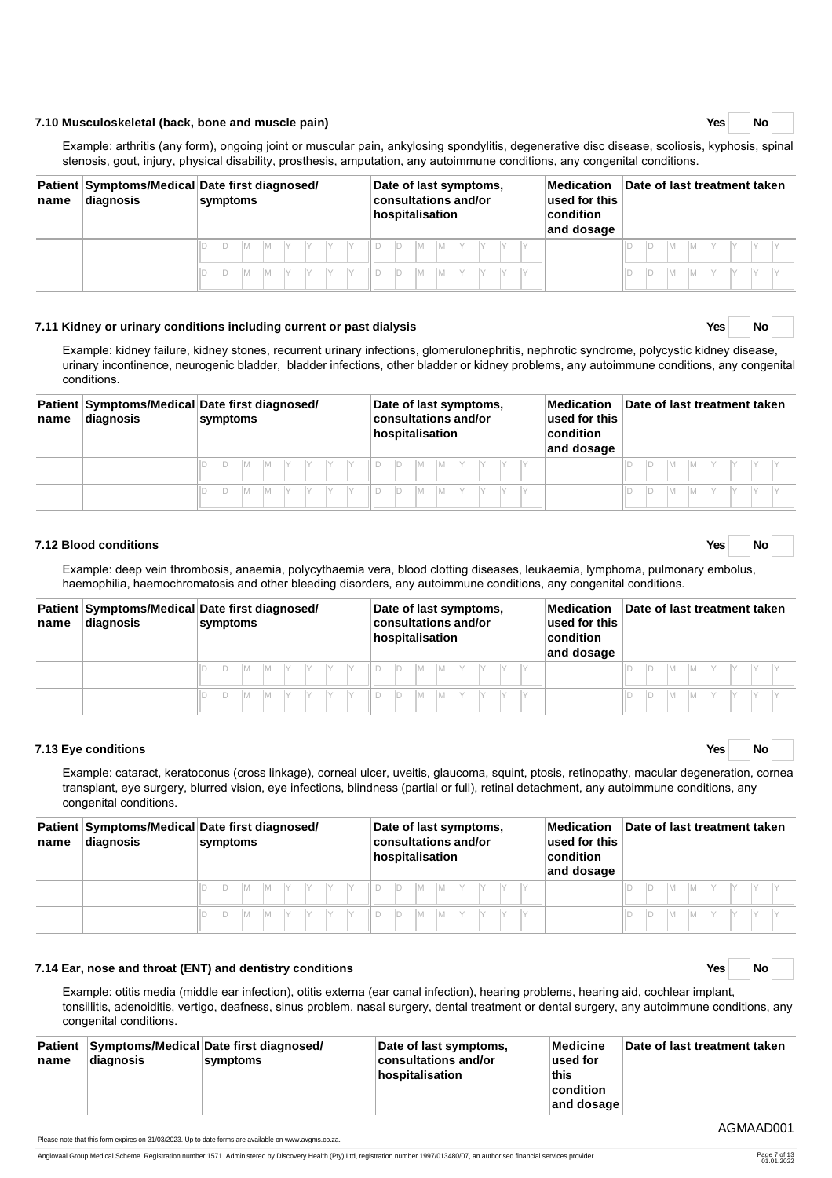### **7.10 Musculoskeletal (back, bone and muscle pain) Yes No**

Anglovaal Group Medical Scheme. Registration number 1571. Administered by Discovery Health (Pty) Ltd, registration number 1997/013480/07, an authorised financial services provider.

# Example: arthritis (any form), ongoing joint or muscular pain, ankylosing spondylitis, degenerative disc disease, scoliosis, kyphosis, spinal stenosis, gout, injury, physical disability, prosthesis, amputation, any autoimmune conditions, any congenital conditions.

| name | diagnosis | Patient Symptoms/Medical Date first diagnosed/<br>symptoms | Date of last symptoms,<br>consultations and/or<br>hospitalisation | $\blacksquare$ Medication<br>used for this<br>$ $ condition<br>and dosage | Date of last treatment taken |
|------|-----------|------------------------------------------------------------|-------------------------------------------------------------------|---------------------------------------------------------------------------|------------------------------|
|      |           |                                                            | IY.<br>- IY<br>IM.<br>- IM                                        |                                                                           | Iм                           |
|      |           | M                                                          | ID<br>M                                                           |                                                                           | M                            |

### **7.11 Kidney or urinary conditions including current or past dialysis Yes No**

Example: kidney failure, kidney stones, recurrent urinary infections, glomerulonephritis, nephrotic syndrome, polycystic kidney disease, urinary incontinence, neurogenic bladder, bladder infections, other bladder or kidney problems, any autoimmune conditions, any congenital conditions.

| name | diagnosis | Patient Symptoms/Medical Date first diagnosed/<br>symptoms | Date of last symptoms,<br>$ $ consultations and/or<br>hospitalisation | Medication<br>used for this<br>$ $ condition<br>and dosage | Date of last treatment taken |  |  |  |
|------|-----------|------------------------------------------------------------|-----------------------------------------------------------------------|------------------------------------------------------------|------------------------------|--|--|--|
|      |           | $\vee$<br>IY<br>M Y Y<br>IM.                               | IY .<br>M<br>M                                                        |                                                            | <b>IM</b><br>IY.<br>l M      |  |  |  |
|      |           |                                                            | iiid<br>IM.<br>IM.                                                    |                                                            | IM.<br>M                     |  |  |  |

### **7.12 Blood conditions Yes No**

Example: deep vein thrombosis, anaemia, polycythaemia vera, blood clotting diseases, leukaemia, lymphoma, pulmonary embolus, haemophilia, haemochromatosis and other bleeding disorders, any autoimmune conditions, any congenital conditions.

| name | diagnosis | Patient Symptoms/Medical Date first diagnosed/<br>symptoms | Date of last symptoms,<br>consultations and/or<br>hospitalisation | Medication<br>used for this<br>condition<br>and dosage | Date of last treatment taken  |  |  |  |
|------|-----------|------------------------------------------------------------|-------------------------------------------------------------------|--------------------------------------------------------|-------------------------------|--|--|--|
|      |           | M Y Y Y Y Y                                                | $ M Y Y Y$<br>D<br>II D<br><b>M</b>                               |                                                        | Y<br>IM.<br>IM.<br>IY.<br>IY. |  |  |  |
|      |           | <b>M</b>                                                   | ШD<br>IM.                                                         |                                                        | IМ<br>IY<br><b>IM</b>         |  |  |  |

### **7.13 Eye conditions Yes No**

Example: cataract, keratoconus (cross linkage), corneal ulcer, uveitis, glaucoma, squint, ptosis, retinopathy, macular degeneration, cornea transplant, eye surgery, blurred vision, eye infections, blindness (partial or full), retinal detachment, any autoimmune conditions, any congenital conditions.

| name | diagnosis | Patient Symptoms/Medical Date first diagnosed/<br>symptoms | Date of last symptoms,<br>consultations and/or<br>hospitalisation | Medication<br>used for this<br>$ $ condition<br>and dosage | Date of last treatment taken |
|------|-----------|------------------------------------------------------------|-------------------------------------------------------------------|------------------------------------------------------------|------------------------------|
|      |           | $ M Y Y X X $                                              | M<br>IY.<br>$\Vert D$<br>IM.                                      |                                                            |                              |
|      |           |                                                            | IM<br>M                                                           |                                                            |                              |

### **7.14 Ear, nose and throat (ENT) and dentistry conditions Yes No**

Example: otitis media (middle ear infection), otitis externa (ear canal infection), hearing problems, hearing aid, cochlear implant, tonsillitis, adenoiditis, vertigo, deafness, sinus problem, nasal surgery, dental treatment or dental surgery, any autoimmune conditions, any congenital conditions.

| Patient Symptoms/Medical Date first diagnosed/<br>Medicine<br>Date of last treatment taken<br>Date of last symptoms,<br>consultations and/or<br>$\sf l$ used for<br>∣diaqnosis<br>symptoms<br>name<br>this<br>hospitalisation<br>$ $ condition<br>and dosage |
|--------------------------------------------------------------------------------------------------------------------------------------------------------------------------------------------------------------------------------------------------------------|
|--------------------------------------------------------------------------------------------------------------------------------------------------------------------------------------------------------------------------------------------------------------|

AGMAAD001

| Yes |  | Nο |  |
|-----|--|----|--|
|-----|--|----|--|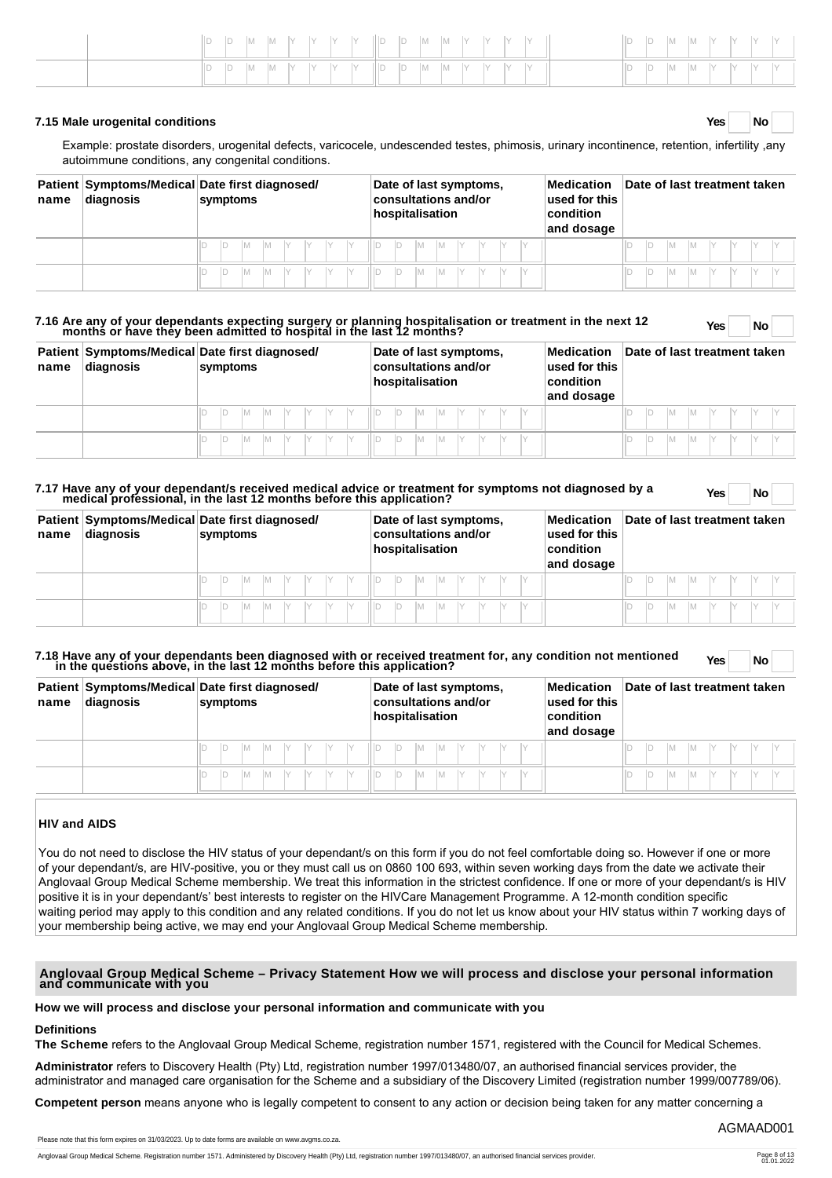|  |  |  |  |  |  |  |  |  |  |   |  | D  D  M  M  Y Y Y Y |  |
|--|--|--|--|--|--|--|--|--|--|---|--|---------------------|--|
|  |  |  |  |  |  |  |  |  |  | D |  | $ M M X Y Y X Y$    |  |

#### **7.15 Male urogenital conditions Yes No**

Example: prostate disorders, urogenital defects, varicocele, undescended testes, phimosis, urinary incontinence, retention, infertility ,any autoimmune conditions, any congenital conditions.

| name | diagnosis | Patient Symptoms/Medical Date first diagnosed/<br>symptoms | Date of last symptoms,<br>consultations and/or<br>hospitalisation | Medication<br>used for this<br>$ $ condition<br>and dosage | Date of last treatment taken |  |  |  |  |  |  |  |  |
|------|-----------|------------------------------------------------------------|-------------------------------------------------------------------|------------------------------------------------------------|------------------------------|--|--|--|--|--|--|--|--|
|      |           | IY<br>IY                                                   | IY<br>М                                                           |                                                            |                              |  |  |  |  |  |  |  |  |
|      |           |                                                            | M                                                                 |                                                            | ID                           |  |  |  |  |  |  |  |  |

# **7.16 Are any of your dependants expecting surgery or planning hospitalisation or treatment in the next 12 months or have they been admitted to hospital in the last 12 months? Yes No**

| name | diagnosis | Patient Symptoms/Medical Date first diagnosed/<br>symptoms | Date of last symptoms,<br>$ $ consultations and/or<br>hospitalisation | <b>Medication</b><br>used for this<br>$ $ condition<br>and dosage | Date of last treatment taken |  |  |  |  |  |  |  |
|------|-----------|------------------------------------------------------------|-----------------------------------------------------------------------|-------------------------------------------------------------------|------------------------------|--|--|--|--|--|--|--|
|      |           | IY<br>IY.                                                  | IM.<br>IY .<br>IM.                                                    |                                                                   |                              |  |  |  |  |  |  |  |
|      |           |                                                            | IM.<br>IY.<br>IY                                                      |                                                                   |                              |  |  |  |  |  |  |  |

# **7.17 Have any of your dependant/s received medical advice or treatment for symptoms not diagnosed by a medical professional, in the last 12 months before this application? Yes No**

| name | diagnosis | Patient Symptoms/Medical Date first diagnosed/<br>symptoms | Date of last symptoms,<br><b>consultations and/or</b><br>hospitalisation | Medication<br>used for this<br>condition<br>and dosage | Date of last treatment taken            |  |  |  |  |  |  |  |  |
|------|-----------|------------------------------------------------------------|--------------------------------------------------------------------------|--------------------------------------------------------|-----------------------------------------|--|--|--|--|--|--|--|--|
|      |           | M Y Y Y                                                    | <b>M</b><br>III D<br>IM                                                  |                                                        | Y <br><b>IM</b><br>$\mathsf{M}$<br>IY . |  |  |  |  |  |  |  |  |
|      |           | IY.<br>IM.<br>IM.                                          | IV.<br>IIID<br>IV<br>IM.<br>IM                                           |                                                        | $\vee$<br>IM.<br>IV<br>1M               |  |  |  |  |  |  |  |  |

# **7.18 Have any of your dependants been diagnosed with or received treatment for, any condition not mentioned in the questions above, in the last 12 months before this application? Yes No**

| name | diagnosis | Patient Symptoms/Medical Date first diagnosed/<br>symptoms |  |  |  |           | Date of last symptoms,<br>consultations and/or<br>hospitalisation |    |     |             | Medication<br>used for this<br>condition<br>and dosage | Date of last treatment taken |  |  |    |          |  |  |  |  |
|------|-----------|------------------------------------------------------------|--|--|--|-----------|-------------------------------------------------------------------|----|-----|-------------|--------------------------------------------------------|------------------------------|--|--|----|----------|--|--|--|--|
|      |           |                                                            |  |  |  | M Y Y X Y |                                                                   | ID |     | M M Y Y Y Y |                                                        |                              |  |  | Iм | <b>M</b> |  |  |  |  |
|      |           |                                                            |  |  |  |           |                                                                   |    | IM. | IM Y        |                                                        |                              |  |  | Iм | IM.      |  |  |  |  |

# **HIV and AIDS**

You do not need to disclose the HIV status of your dependant/s on this form if you do not feel comfortable doing so. However if one or more of your dependant/s, are HIV-positive, you or they must call us on 0860 100 693, within seven working days from the date we activate their Anglovaal Group Medical Scheme membership. We treat this information in the strictest confidence. If one or more of your dependant/s is HIV positive it is in your dependant/s' best interests to register on the HIVCare Management Programme. A 12-month condition specific waiting period may apply to this condition and any related conditions. If you do not let us know about your HIV status within 7 working days of your membership being active, we may end your Anglovaal Group Medical Scheme membership.

# **Anglovaal Group Medical Scheme – Privacy Statement How we will process and disclose your personal information and communicate with you**

### **How we will process and disclose your personal information and communicate with you**

# **Definitions**

**The Scheme** refers to the Anglovaal Group Medical Scheme, registration number 1571, registered with the Council for Medical Schemes.

**Administrator** refers to Discovery Health (Pty) Ltd, registration number 1997/013480/07, an authorised financial services provider, the administrator and managed care organisation for the Scheme and a subsidiary of the Discovery Limited (registration number 1999/007789/06).

**Competent person** means anyone who is legally competent to consent to any action or decision being taken for any matter concerning a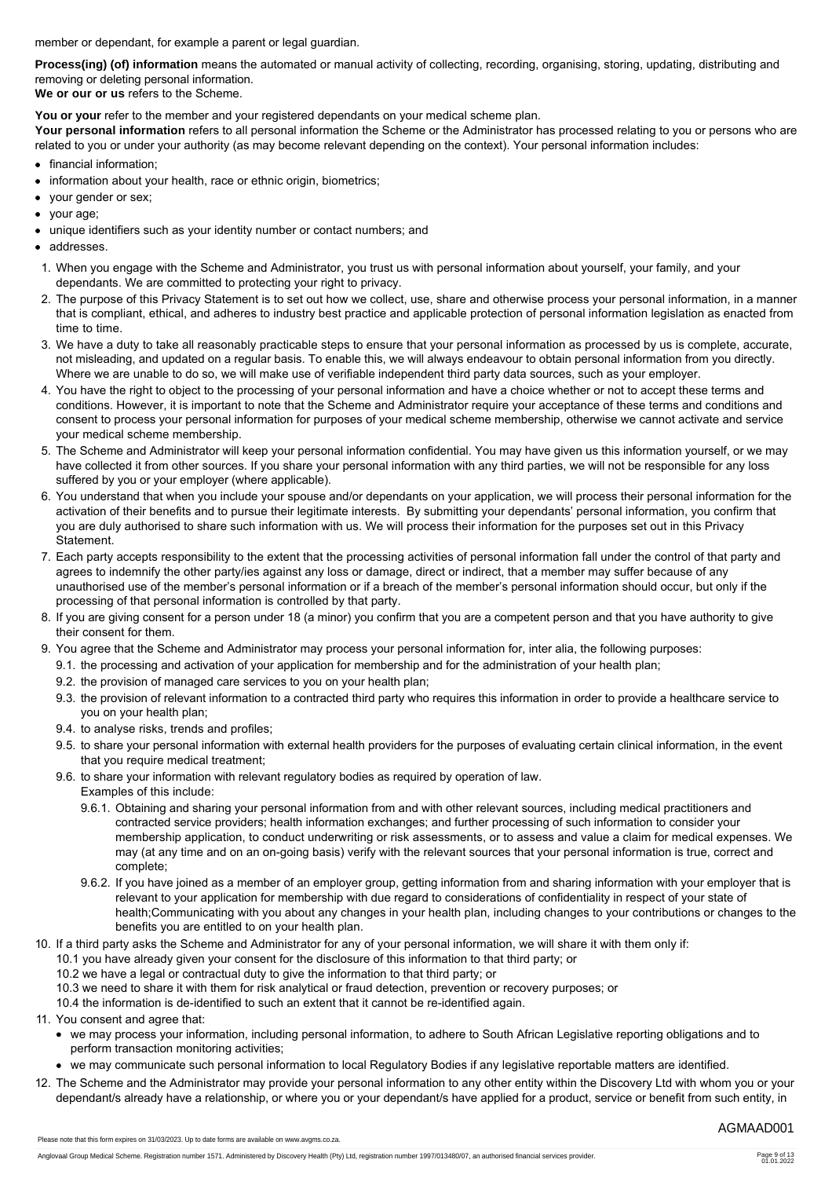member or dependant, for example a parent or legal guardian.

**Process(ing) (of) information** means the automated or manual activity of collecting, recording, organising, storing, updating, distributing and removing or deleting personal information.

**We or our or us** refers to the Scheme.

You or your refer to the member and your registered dependants on your medical scheme plan.

Your personal information refers to all personal information the Scheme or the Administrator has processed relating to you or persons who are related to you or under your authority (as may become relevant depending on the context). Your personal information includes:

- financial information;
- information about your health, race or ethnic origin, biometrics;
- your gender or sex;  $\bullet$
- vour age:
- unique identifiers such as your identity number or contact numbers; and
- addresses.
- 1. When you engage with the Scheme and Administrator, you trust us with personal information about yourself, your family, and your dependants. We are committed to protecting your right to privacy.
- 2. The purpose of this Privacy Statement is to set out how we collect, use, share and otherwise process your personal information, in a manner that is compliant, ethical, and adheres to industry best practice and applicable protection of personal information legislation as enacted from time to time.
- 3. We have a duty to take all reasonably practicable steps to ensure that your personal information as processed by us is complete, accurate, not misleading, and updated on a regular basis. To enable this, we will always endeavour to obtain personal information from you directly. Where we are unable to do so, we will make use of verifiable independent third party data sources, such as your employer.
- 4. You have the right to object to the processing of your personal information and have a choice whether or not to accept these terms and conditions. However, it is important to note that the Scheme and Administrator require your acceptance of these terms and conditions and consent to process your personal information for purposes of your medical scheme membership, otherwise we cannot activate and service your medical scheme membership.
- 5. The Scheme and Administrator will keep your personal information confidential. You may have given us this information yourself, or we may have collected it from other sources. If you share your personal information with any third parties, we will not be responsible for any loss suffered by you or your employer (where applicable).
- 6. You understand that when you include your spouse and/or dependants on your application, we will process their personal information for the activation of their benefits and to pursue their legitimate interests. By submitting your dependants' personal information, you confirm that you are duly authorised to share such information with us. We will process their information for the purposes set out in this Privacy Statement.
- 7. Each party accepts responsibility to the extent that the processing activities of personal information fall under the control of that party and agrees to indemnify the other party/ies against any loss or damage, direct or indirect, that a member may suffer because of any unauthorised use of the member's personal information or if a breach of the member's personal information should occur, but only if the processing of that personal information is controlled by that party.
- 8. If you are giving consent for a person under 18 (a minor) you confirm that you are a competent person and that you have authority to give their consent for them.
- 9. You agree that the Scheme and Administrator may process your personal information for, inter alia, the following purposes:
	- 9.1. the processing and activation of your application for membership and for the administration of your health plan;
	- 9.2. the provision of managed care services to you on your health plan;
	- 9.3. the provision of relevant information to a contracted third party who requires this information in order to provide a healthcare service to you on your health plan;
	- 9.4. to analyse risks, trends and profiles;
	- 9.5. to share your personal information with external health providers for the purposes of evaluating certain clinical information, in the event that you require medical treatment;
	- 9.6. to share your information with relevant regulatory bodies as required by operation of law.
		- Examples of this include:
			- 9.6.1. Obtaining and sharing your personal information from and with other relevant sources, including medical practitioners and contracted service providers; health information exchanges; and further processing of such information to consider your membership application, to conduct underwriting or risk assessments, or to assess and value a claim for medical expenses. We may (at any time and on an on-going basis) verify with the relevant sources that your personal information is true, correct and complete;
			- 9.6.2. If you have joined as a member of an employer group, getting information from and sharing information with your employer that is relevant to your application for membership with due regard to considerations of confidentiality in respect of your state of health;Communicating with you about any changes in your health plan, including changes to your contributions or changes to the benefits you are entitled to on your health plan.
- 10. If a third party asks the Scheme and Administrator for any of your personal information, we will share it with them only if:
	- 10.1 you have already given your consent for the disclosure of this information to that third party; or
	- 10.2 we have a legal or contractual duty to give the information to that third party; or
	- 10.3 we need to share it with them for risk analytical or fraud detection, prevention or recovery purposes; or
	- 10.4 the information is de-identified to such an extent that it cannot be re-identified again.
- 11. You consent and agree that:
	- we may process your information, including personal information, to adhere to South African Legislative reporting obligations and to perform transaction monitoring activities;
	- we may communicate such personal information to local Regulatory Bodies if any legislative reportable matters are identified.
- 12. The Scheme and the Administrator may provide your personal information to any other entity within the Discovery Ltd with whom you or your dependant/s already have a relationship, or where you or your dependant/s have applied for a product, service or benefit from such entity, in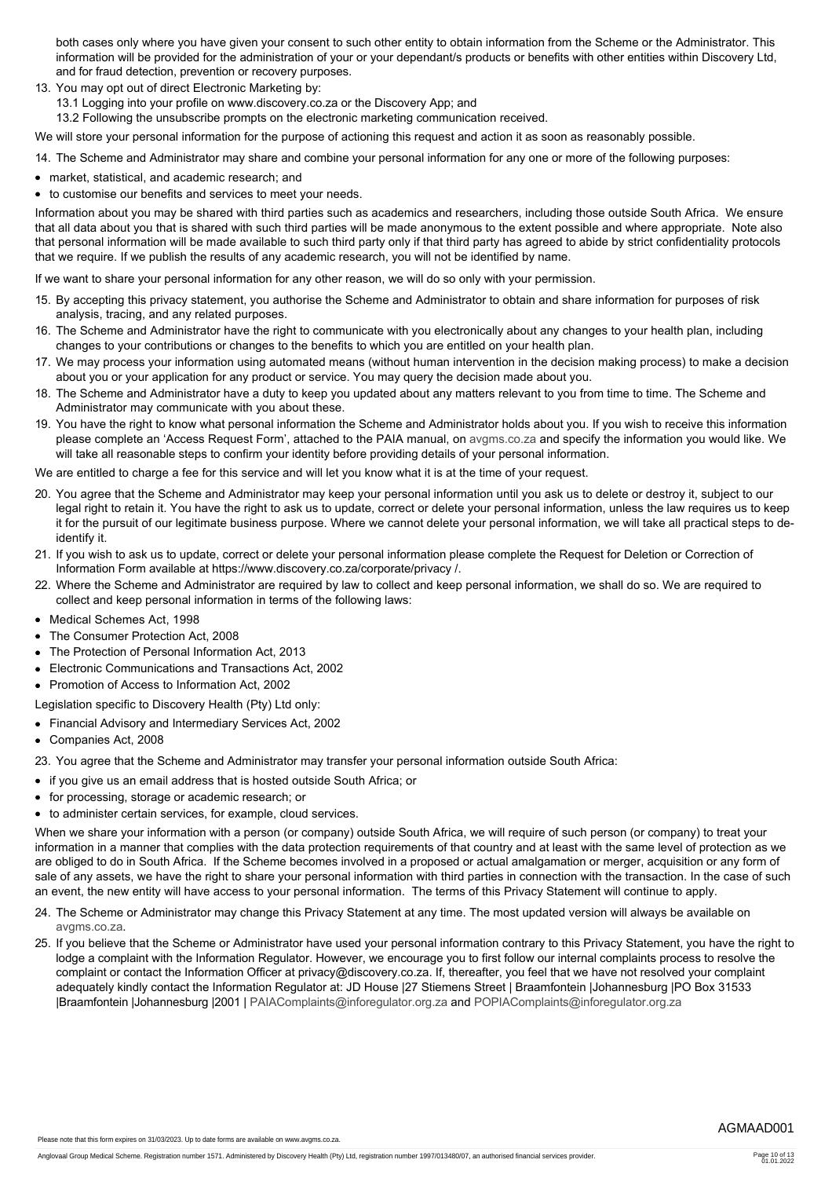both cases only where you have given your consent to such other entity to obtain information from the Scheme or the Administrator. This information will be provided for the administration of your or your dependant/s products or benefits with other entities within Discovery Ltd, and for fraud detection, prevention or recovery purposes.

- 13. You may opt out of direct Electronic Marketing by:
	- 13.1 Logging into your profile on www.discovery.co.za or the Discovery App; and
	- 13.2 Following the unsubscribe prompts on the electronic marketing communication received.

We will store your personal information for the purpose of actioning this request and action it as soon as reasonably possible.

14. The Scheme and Administrator may share and combine your personal information for any one or more of the following purposes:

- market, statistical, and academic research; and
- to customise our benefits and services to meet your needs.

Information about you may be shared with third parties such as academics and researchers, including those outside South Africa. We ensure that all data about you that is shared with such third parties will be made anonymous to the extent possible and where appropriate. Note also that personal information will be made available to such third party only if that third party has agreed to abide by strict confidentiality protocols that we require. If we publish the results of any academic research, you will not be identified by name.

If we want to share your personal information for any other reason, we will do so only with your permission.

- 15. By accepting this privacy statement, you authorise the Scheme and Administrator to obtain and share information for purposes of risk analysis, tracing, and any related purposes.
- 16. The Scheme and Administrator have the right to communicate with you electronically about any changes to your health plan, including changes to your contributions or changes to the benefits to which you are entitled on your health plan.
- 17. We may process your information using automated means (without human intervention in the decision making process) to make a decision about you or your application for any product or service. You may query the decision made about you.
- 18. The Scheme and Administrator have a duty to keep you updated about any matters relevant to you from time to time. The Scheme and Administrator may communicate with you about these.
- 19. You have the right to know what personal information the Scheme and Administrator holds about you. If you wish to receive this information please complete an 'Access Request Form', attached to the PAIA manual, on [avgms.co.za](http://www.avgms.co.za) and specify the information you would like. We will take all reasonable steps to confirm your identity before providing details of your personal information.

We are entitled to charge a fee for this service and will let you know what it is at the time of your request.

- 20. You agree that the Scheme and Administrator may keep your personal information until you ask us to delete or destroy it, subject to our legal right to retain it. You have the right to ask us to update, correct or delete your personal information, unless the law requires us to keep it for the pursuit of our legitimate business purpose. Where we cannot delete your personal information, we will take all practical steps to deidentify it.
- 21. If you wish to ask us to update, correct or delete your personal information please complete the Request for Deletion or Correction of Information Form available at https://www.discovery.co.za/corporate/privacy /.
- 22. Where the Scheme and Administrator are required by law to collect and keep personal information, we shall do so. We are required to collect and keep personal information in terms of the following laws:
- Medical Schemes Act, 1998
- The Consumer Protection Act, 2008
- The Protection of Personal Information Act, 2013
- Electronic Communications and Transactions Act, 2002
- Promotion of Access to Information Act, 2002
- Legislation specific to Discovery Health (Pty) Ltd only:
- Financial Advisory and Intermediary Services Act, 2002
- Companies Act, 2008

23. You agree that the Scheme and Administrator may transfer your personal information outside South Africa:

- if you give us an email address that is hosted outside South Africa; or
- for processing, storage or academic research; or
- to administer certain services, for example, cloud services.

When we share your information with a person (or company) outside South Africa, we will require of such person (or company) to treat your information in a manner that complies with the data protection requirements of that country and at least with the same level of protection as we are obliged to do in South Africa. If the Scheme becomes involved in a proposed or actual amalgamation or merger, acquisition or any form of sale of any assets, we have the right to share your personal information with third parties in connection with the transaction. In the case of such an event, the new entity will have access to your personal information. The terms of this Privacy Statement will continue to apply.

- 24. The Scheme or Administrator may change this Privacy Statement at any time. The most updated version will always be available on [avgms.co.za.](http://www.avgms.co.za)
- 25. If you believe that the Scheme or Administrator have used your personal information contrary to this Privacy Statement, you have the right to lodge a complaint with the Information Regulator. However, we encourage you to first follow our internal complaints process to resolve the complaint or contact the Information Officer at privacy@discovery.co.za. If, thereafter, you feel that we have not resolved your complaint adequately kindly contact the Information Regulator at: JD House |27 Stiemens Street | Braamfontein |Johannesburg |PO Box 31533 |Braamfontein |Johannesburg |2001 | [PAIAComplaints@inforegulator.org.za](mailto:PAIAComplaints@inforegulator.org.za) and [POPIAComplaints@inforegulator.org.za](mailto:POPIAComplaints@inforegulator.org.za)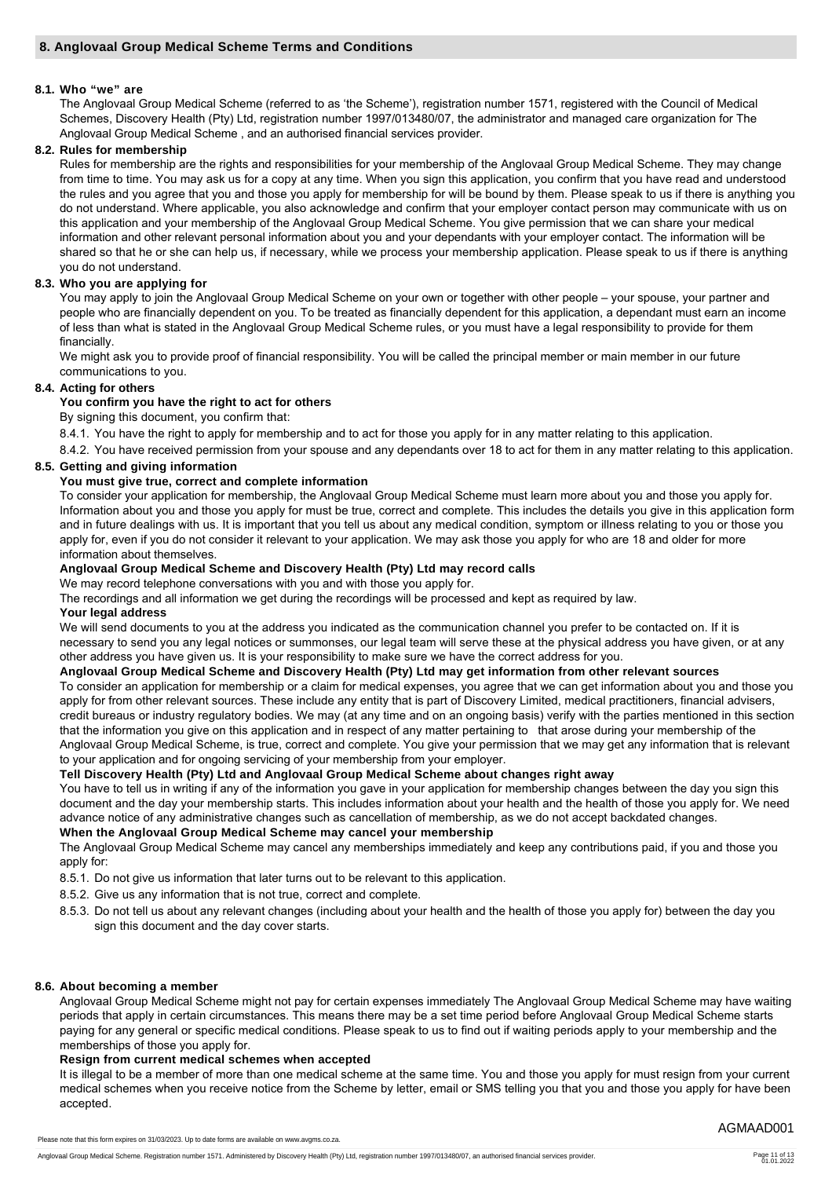### **8.1. Who "we" are**

The Anglovaal Group Medical Scheme (referred to as 'the Scheme'), registration number 1571, registered with the Council of Medical Schemes, Discovery Health (Pty) Ltd, registration number 1997/013480/07, the administrator and managed care organization for The Anglovaal Group Medical Scheme , and an authorised financial services provider.

## **8.2. Rules for membership**

Rules for membership are the rights and responsibilities for your membership of the Anglovaal Group Medical Scheme. They may change from time to time. You may ask us for a copy at any time. When you sign this application, you confirm that you have read and understood the rules and you agree that you and those you apply for membership for will be bound by them. Please speak to us if there is anything you do not understand. Where applicable, you also acknowledge and confirm that your employer contact person may communicate with us on this application and your membership of the Anglovaal Group Medical Scheme. You give permission that we can share your medical information and other relevant personal information about you and your dependants with your employer contact. The information will be shared so that he or she can help us, if necessary, while we process your membership application. Please speak to us if there is anything you do not understand.

### **8.3. Who you are applying for**

You may apply to join the Anglovaal Group Medical Scheme on your own or together with other people – your spouse, your partner and people who are financially dependent on you. To be treated as financially dependent for this application, a dependant must earn an income of less than what is stated in the Anglovaal Group Medical Scheme rules, or you must have a legal responsibility to provide for them financially.

We might ask you to provide proof of financial responsibility. You will be called the principal member or main member in our future communications to you.

### **8.4. Acting for others**

### **You confirm you have the right to act for others**

By signing this document, you confirm that:

8.4.1. You have the right to apply for membership and to act for those you apply for in any matter relating to this application.

8.4.2. You have received permission from your spouse and any dependants over 18 to act for them in any matter relating to this application.

# **8.5. Getting and giving information**

## **You must give true, correct and complete information**

To consider your application for membership, the Anglovaal Group Medical Scheme must learn more about you and those you apply for. Information about you and those you apply for must be true, correct and complete. This includes the details you give in this application form and in future dealings with us. It is important that you tell us about any medical condition, symptom or illness relating to you or those you apply for, even if you do not consider it relevant to your application. We may ask those you apply for who are 18 and older for more information about themselves.

### **Anglovaal Group Medical Scheme and Discovery Health (Pty) Ltd may record calls**

We may record telephone conversations with you and with those you apply for.

The recordings and all information we get during the recordings will be processed and kept as required by law.

### **Your legal address**

We will send documents to you at the address you indicated as the communication channel you prefer to be contacted on. If it is necessary to send you any legal notices or summonses, our legal team will serve these at the physical address you have given, or at any other address you have given us. It is your responsibility to make sure we have the correct address for you.

# **Anglovaal Group Medical Scheme and Discovery Health (Pty) Ltd may get information from other relevant sources**

To consider an application for membership or a claim for medical expenses, you agree that we can get information about you and those you apply for from other relevant sources. These include any entity that is part of Discovery Limited, medical practitioners, financial advisers, credit bureaus or industry regulatory bodies. We may (at any time and on an ongoing basis) verify with the parties mentioned in this section that the information you give on this application and in respect of any matter pertaining to that arose during your membership of the Anglovaal Group Medical Scheme, is true, correct and complete. You give your permission that we may get any information that is relevant to your application and for ongoing servicing of your membership from your employer.

# **Tell Discovery Health (Pty) Ltd and Anglovaal Group Medical Scheme about changes right away**

You have to tell us in writing if any of the information you gave in your application for membership changes between the day you sign this document and the day your membership starts. This includes information about your health and the health of those you apply for. We need advance notice of any administrative changes such as cancellation of membership, as we do not accept backdated changes.

# **When the Anglovaal Group Medical Scheme may cancel your membership**

The Anglovaal Group Medical Scheme may cancel any memberships immediately and keep any contributions paid, if you and those you apply for:

8.5.1. Do not give us information that later turns out to be relevant to this application.

- 8.5.2. Give us any information that is not true, correct and complete.
- 8.5.3. Do not tell us about any relevant changes (including about your health and the health of those you apply for) between the day you sign this document and the day cover starts.

# **8.6. About becoming a member**

Anglovaal Group Medical Scheme might not pay for certain expenses immediately The Anglovaal Group Medical Scheme may have waiting periods that apply in certain circumstances. This means there may be a set time period before Anglovaal Group Medical Scheme starts paying for any general or specific medical conditions. Please speak to us to find out if waiting periods apply to your membership and the memberships of those you apply for.

# **Resign from current medical schemes when accepted**

It is illegal to be a member of more than one medical scheme at the same time. You and those you apply for must resign from your current medical schemes when you receive notice from the Scheme by letter, email or SMS telling you that you and those you apply for have been accepted.

Please note that this form expires on 31/03/2023. Up to date forms are available on www.avgms.co.za.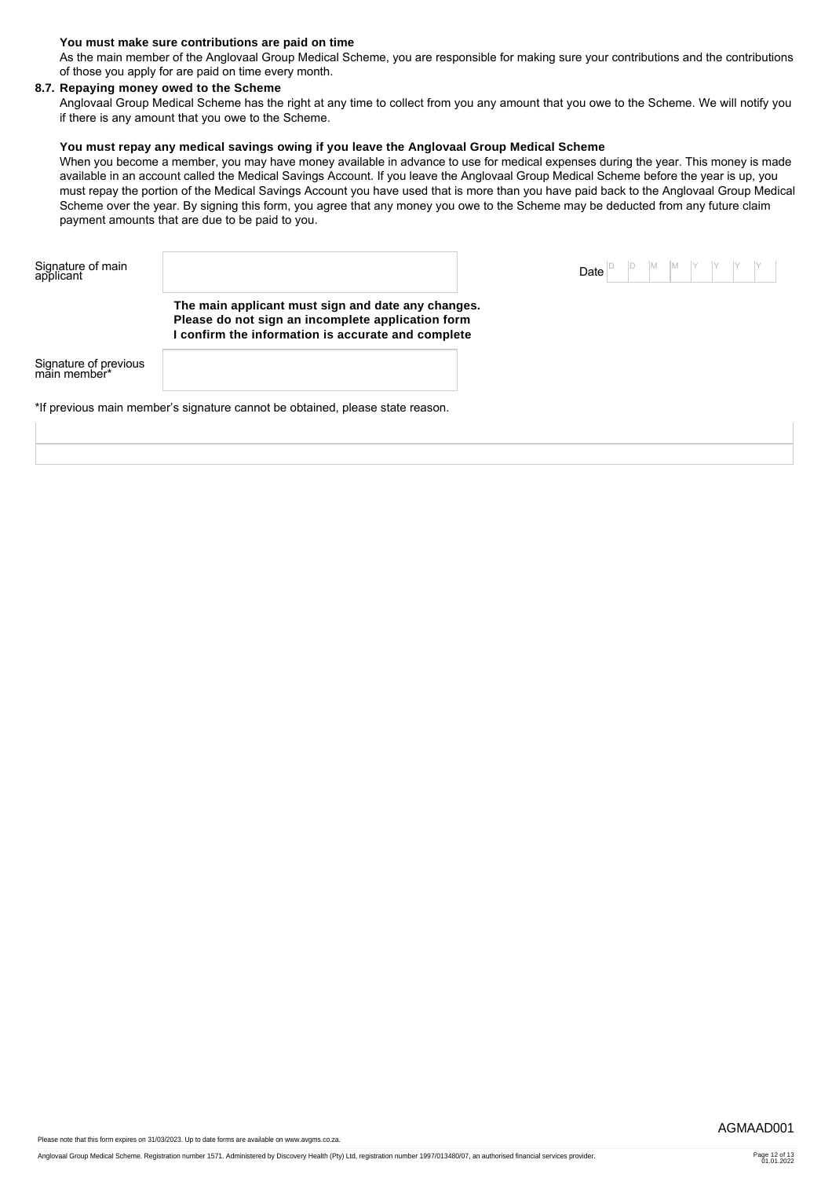### **You must make sure contributions are paid on time**

As the main member of the Anglovaal Group Medical Scheme, you are responsible for making sure your contributions and the contributions of those you apply for are paid on time every month.

# **8.7. Repaying money owed to the Scheme**

Anglovaal Group Medical Scheme has the right at any time to collect from you any amount that you owe to the Scheme. We will notify you if there is any amount that you owe to the Scheme.

## **You must repay any medical savings owing if you leave the Anglovaal Group Medical Scheme**

When you become a member, you may have money available in advance to use for medical expenses during the year. This money is made available in an account called the Medical Savings Account. If you leave the Anglovaal Group Medical Scheme before the year is up, you must repay the portion of the Medical Savings Account you have used that is more than you have paid back to the Anglovaal Group Medical Scheme over the year. By signing this form, you agree that any money you owe to the Scheme may be deducted from any future claim payment amounts that are due to be paid to you.

| Signature of main<br>applicant        |                                                                                                                                                             | D <br>Date | M M Y Y Y Y |
|---------------------------------------|-------------------------------------------------------------------------------------------------------------------------------------------------------------|------------|-------------|
|                                       | The main applicant must sign and date any changes.<br>Please do not sign an incomplete application form<br>confirm the information is accurate and complete |            |             |
| Signature of previous<br>main member* |                                                                                                                                                             |            |             |
|                                       | *If previous main member's signature cannot be obtained, please state reason.                                                                               |            |             |